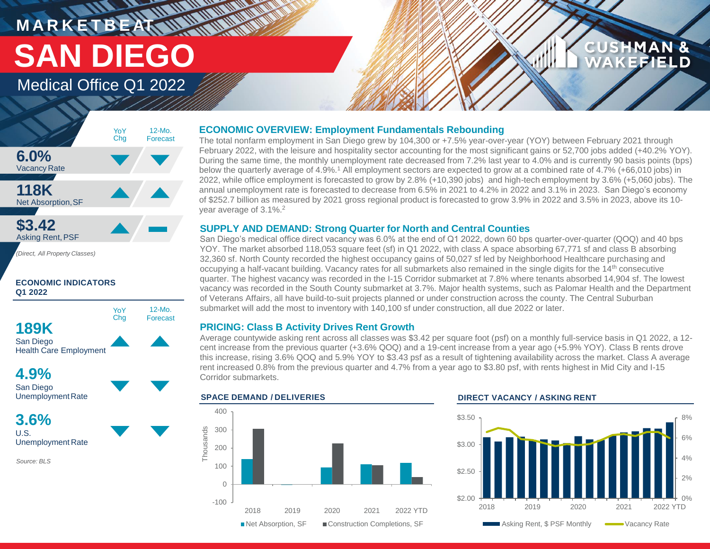# **MARKETBEAT MUNICIPAL** Medical Office Q1 2022 **SAN DIEGO**

## **CUSHMAN &** FFIELD



*(Direct, All Property Classes)*









**3.6%** U.S. Unemployment Rate

*Source: BLS*

#### **ECONOMIC OVERVIEW: Employment Fundamentals Rebounding**

The total nonfarm employment in San Diego grew by 104,300 or +7.5% year-over-year (YOY) between February 2021 through February 2022, with the leisure and hospitality sector accounting for the most significant gains or 52,700 jobs added (+40.2% YOY). During the same time, the monthly unemployment rate decreased from 7.2% last year to 4.0% and is currently 90 basis points (bps) below the quarterly average of 4.9%.<sup>1</sup> All employment sectors are expected to grow at a combined rate of 4.7% (+66,010 jobs) in 2022, while office employment is forecasted to grow by 2.8% (+10,390 jobs) and high-tech employment by 3.6% (+5,060 jobs). The annual unemployment rate is forecasted to decrease from 6.5% in 2021 to 4.2% in 2022 and 3.1% in 2023. San Diego's economy of \$252.7 billion as measured by 2021 gross regional product is forecasted to grow 3.9% in 2022 and 3.5% in 2023, above its 10 year average of 3.1%.<sup>2</sup>

### **SUPPLY AND DEMAND: Strong Quarter for North and Central Counties**

San Diego's medical office direct vacancy was 6.0% at the end of Q1 2022, down 60 bps quarter-over-quarter (QOQ) and 40 bps YOY. The market absorbed 118,053 square feet (sf) in Q1 2022, with class A space absorbing 67,771 sf and class B absorbing 32,360 sf. North County recorded the highest occupancy gains of 50,027 sf led by Neighborhood Healthcare purchasing and occupying a half-vacant building. Vacancy rates for all submarkets also remained in the single digits for the 14th consecutive quarter. The highest vacancy was recorded in the I-15 Corridor submarket at 7.8% where tenants absorbed 14,904 sf. The lowest vacancy was recorded in the South County submarket at 3.7%. Major health systems, such as Palomar Health and the Department of Veterans Affairs, all have build-to-suit projects planned or under construction across the county. The Central Suburban submarket will add the most to inventory with 140,100 sf under construction, all due 2022 or later.

### **PRICING: Class B Activity Drives Rent Growth**

Average countywide asking rent across all classes was \$3.42 per square foot (psf) on a monthly full-service basis in Q1 2022, a 12 cent increase from the previous quarter (+3.6% QOQ) and a 19-cent increase from a year ago (+5.9% YOY). Class B rents drove this increase, rising 3.6% QOQ and 5.9% YOY to \$3.43 psf as a result of tightening availability across the market. Class A average rent increased 0.8% from the previous quarter and 4.7% from a year ago to \$3.80 psf, with rents highest in Mid City and I-15 Corridor submarkets.